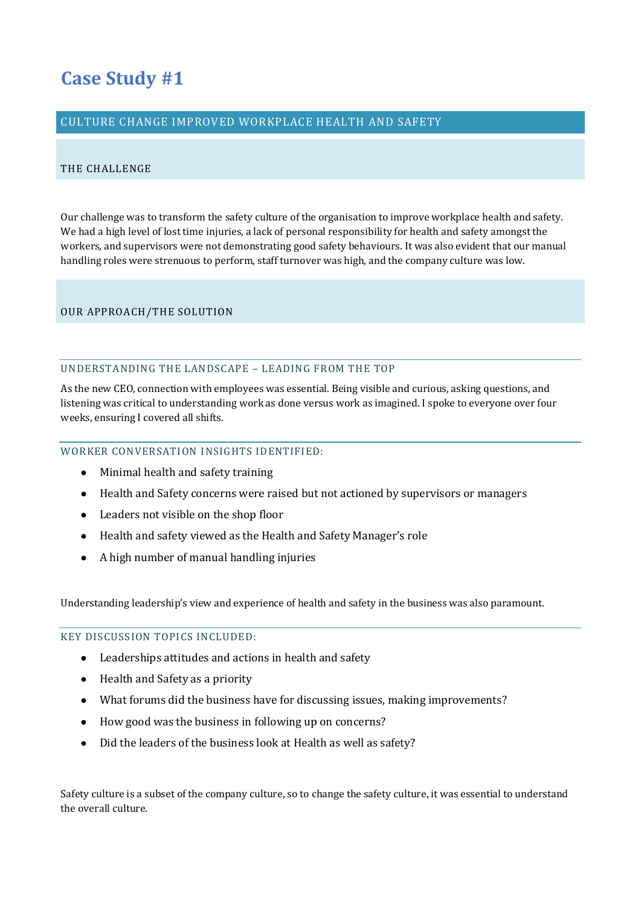# **Case Study #1**

# CULTURE CHANGE IMPROVED WORKPLACE HEALTH AND SAFETY

## THE CHALLENGE

Our challenge was to transform the safety culture of the organisation to improve workplace health and safety. We had a high level of lost time injuries, a lack of personal responsibility for health and safety amongst the workers, and supervisors were not demonstrating good safety behaviours. It was also evident that our manual handling roles were strenuous to perform, staff turnover was high, and the company culture was low.

# OUR APPROACH/THE SOLUTION

## UNDERSTANDING THE LANDSCAPE – LEADING FROM THE TOP

As the new CEO, connection with employees was essential. Being visible and curious, asking questions, and listening was critical to understanding work as done versus work as imagined. I spoke to everyone over four weeks, ensuring I covered all shifts.

## WORKER CONVERSATION INSIGHTS IDENTIFIED:

- Minimal health and safety training
- Health and Safety concerns were raised but not actioned by supervisors or managers
- Leaders not visible on the shop floor
- Health and safety viewed as the Health and Safety Manager's role
- A high number of manual handling injuries

Understanding leadership's view and experience of health and safety in the business was also paramount.

KEY DISCUSSION TOPICS INCLUDED:

- Leaderships attitudes and actions in health and safety
- Health and Safety as a priority
- What forums did the business have for discussing issues, making improvements?
- How good was the business in following up on concerns?
- Did the leaders of the business look at Health as well as safety?

Safety culture is a subset of the company culture, so to change the safety culture, it was essential to understand the overall culture.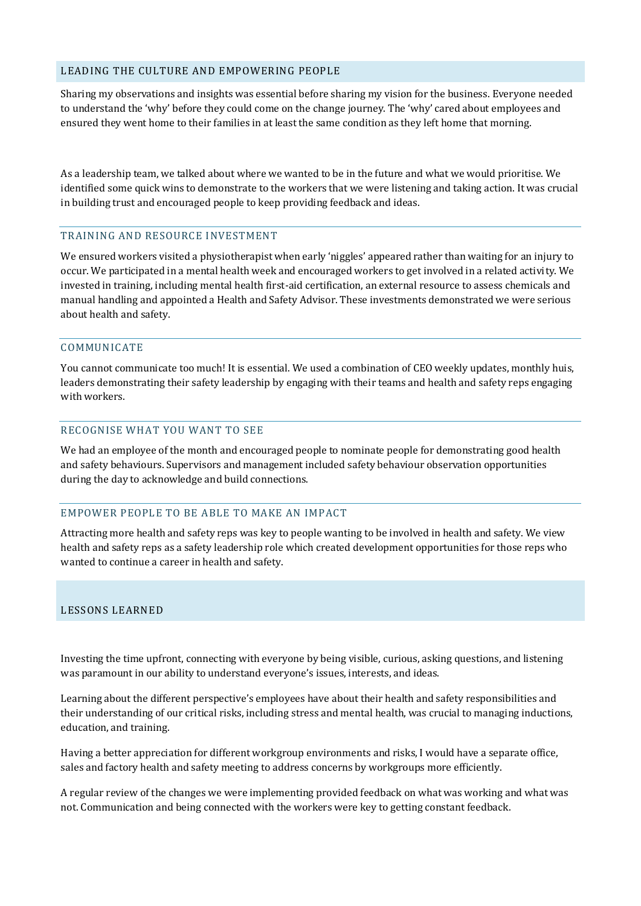## LEADING THE CULTURE AND EMPOWERING PEOPLE

Sharing my observations and insights was essential before sharing my vision for the business. Everyone needed to understand the 'why' before they could come on the change journey. The 'why' cared about employees and ensured they went home to their families in at least the same condition as they left home that morning.

As a leadership team, we talked about where we wanted to be in the future and what we would prioritise. We identified some quick wins to demonstrate to the workers that we were listening and taking action. It was crucial in building trust and encouraged people to keep providing feedback and ideas.

#### TRAINING AND RESOURCE INVESTMENT

We ensured workers visited a physiotherapist when early 'niggles' appeared rather than waiting for an injury to occur. We participated in a mental health week and encouraged workers to get involved in a related activity. We invested in training, including mental health first-aid certification, an external resource to assess chemicals and manual handling and appointed a Health and Safety Advisor. These investments demonstrated we were serious about health and safety.

## COMMUNICATE

You cannot communicate too much! It is essential. We used a combination of CEO weekly updates, monthly huis, leaders demonstrating their safety leadership by engaging with their teams and health and safety reps engaging with workers.

# RECOGNISE WHAT YOU WANT TO SEE

We had an employee of the month and encouraged people to nominate people for demonstrating good health and safety behaviours. Supervisors and management included safety behaviour observation opportunities during the day to acknowledge and build connections.

## EMPOWER PEOPLE TO BE ABLE TO MAKE AN IMPACT

Attracting more health and safety reps was key to people wanting to be involved in health and safety. We view health and safety reps as a safety leadership role which created development opportunities for those reps who wanted to continue a career in health and safety.

## LESSONS LEARNED

Investing the time upfront, connecting with everyone by being visible, curious, asking questions, and listening was paramount in our ability to understand everyone's issues, interests, and ideas.

Learning about the different perspective's employees have about their health and safety responsibilities and their understanding of our critical risks, including stress and mental health, was crucial to managing inductions, education, and training.

Having a better appreciation for different workgroup environments and risks, I would have a separate office, sales and factory health and safety meeting to address concerns by workgroups more efficiently.

A regular review of the changes we were implementing provided feedback on what was working and what was not. Communication and being connected with the workers were key to getting constant feedback.